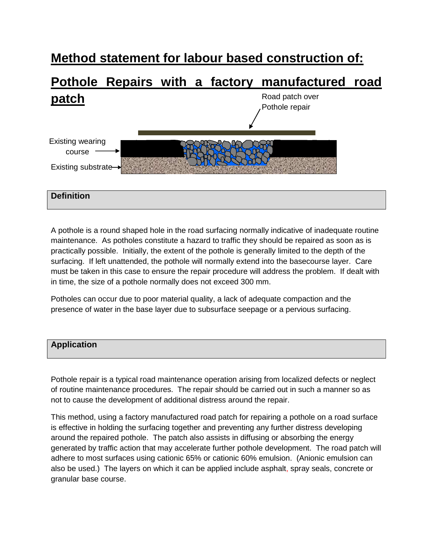# **Method statement for labour based construction of:**

# **Pothole Repairs with a factory manufactured road patch**  Road patch over Pothole repair



### **Definition**

A pothole is a round shaped hole in the road surfacing normally indicative of inadequate routine maintenance. As potholes constitute a hazard to traffic they should be repaired as soon as is practically possible. Initially, the extent of the pothole is generally limited to the depth of the surfacing. If left unattended, the pothole will normally extend into the basecourse layer. Care must be taken in this case to ensure the repair procedure will address the problem. If dealt with in time, the size of a pothole normally does not exceed 300 mm.

Potholes can occur due to poor material quality, a lack of adequate compaction and the presence of water in the base layer due to subsurface seepage or a pervious surfacing.

### **Application**

Pothole repair is a typical road maintenance operation arising from localized defects or neglect of routine maintenance procedures. The repair should be carried out in such a manner so as not to cause the development of additional distress around the repair.

This method, using a factory manufactured road patch for repairing a pothole on a road surface is effective in holding the surfacing together and preventing any further distress developing around the repaired pothole. The patch also assists in diffusing or absorbing the energy generated by traffic action that may accelerate further pothole development. The road patch will adhere to most surfaces using cationic 65% or cationic 60% emulsion. (Anionic emulsion can also be used.) The layers on which it can be applied include asphalt, spray seals, concrete or granular base course.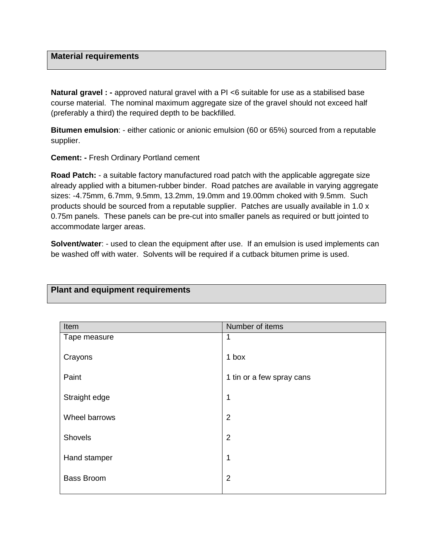#### **Material requirements**

**Natural gravel : -** approved natural gravel with a PI <6 suitable for use as a stabilised base course material. The nominal maximum aggregate size of the gravel should not exceed half (preferably a third) the required depth to be backfilled.

**Bitumen emulsion**: - either cationic or anionic emulsion (60 or 65%) sourced from a reputable supplier.

**Cement: -** Fresh Ordinary Portland cement

**Plant and equipment requirements** 

**Road Patch:** - a suitable factory manufactured road patch with the applicable aggregate size already applied with a bitumen-rubber binder. Road patches are available in varying aggregate sizes: -4.75mm, 6.7mm, 9.5mm, 13.2mm, 19.0mm and 19.00mm choked with 9.5mm. Such products should be sourced from a reputable supplier. Patches are usually available in 1.0 x 0.75m panels. These panels can be pre-cut into smaller panels as required or butt jointed to accommodate larger areas.

**Solvent/water:** - used to clean the equipment after use. If an emulsion is used implements can be washed off with water. Solvents will be required if a cutback bitumen prime is used.

## Item **If the Internal Contract Contract Contract Contract Contract Contract Contract Contract Contract Contract Contract Contract Contract Contract Contract Contract Contract Contract Contract Contract Contract Contract Co** Tape measure **Crayons** Paint Straight edge Wheel barrows **Shovels** Hand stamper Bass Broom 1 1 box 1 tin or a few spray cans 1 2 2 1 2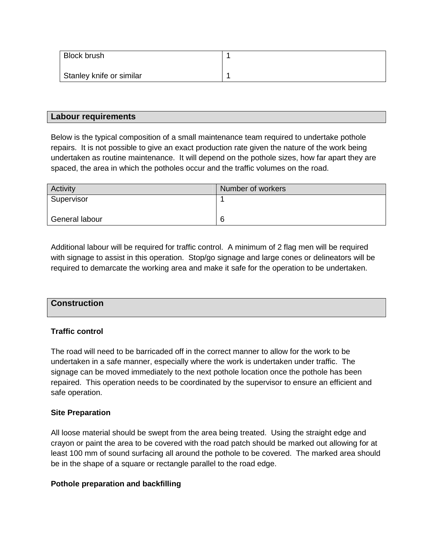| Block brush              |  |
|--------------------------|--|
| Stanley knife or similar |  |

#### **Labour requirements**

Below is the typical composition of a small maintenance team required to undertake pothole repairs. It is not possible to give an exact production rate given the nature of the work being undertaken as routine maintenance. It will depend on the pothole sizes, how far apart they are spaced, the area in which the potholes occur and the traffic volumes on the road.

| <b>Activity</b> | Number of workers |  |
|-----------------|-------------------|--|
| Supervisor      |                   |  |
|                 |                   |  |
| General labour  | 6                 |  |

Additional labour will be required for traffic control. A minimum of 2 flag men will be required with signage to assist in this operation. Stop/go signage and large cones or delineators will be required to demarcate the working area and make it safe for the operation to be undertaken.

| <b>Construction</b> |  |  |
|---------------------|--|--|
|                     |  |  |

#### **Traffic control**

The road will need to be barricaded off in the correct manner to allow for the work to be undertaken in a safe manner, especially where the work is undertaken under traffic. The signage can be moved immediately to the next pothole location once the pothole has been repaired. This operation needs to be coordinated by the supervisor to ensure an efficient and safe operation.

#### **Site Preparation**

All loose material should be swept from the area being treated. Using the straight edge and crayon or paint the area to be covered with the road patch should be marked out allowing for at least 100 mm of sound surfacing all around the pothole to be covered. The marked area should be in the shape of a square or rectangle parallel to the road edge.

#### **Pothole preparation and backfilling**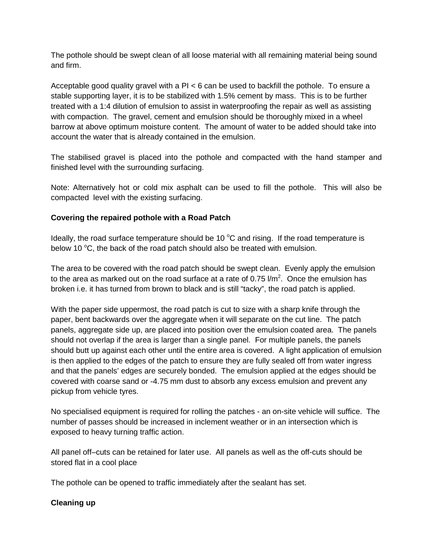The pothole should be swept clean of all loose material with all remaining material being sound and firm.

Acceptable good quality gravel with a  $PI < 6$  can be used to backfill the pothole. To ensure a stable supporting layer, it is to be stabilized with 1.5% cement by mass. This is to be further treated with a 1:4 dilution of emulsion to assist in waterproofing the repair as well as assisting with compaction. The gravel, cement and emulsion should be thoroughly mixed in a wheel barrow at above optimum moisture content. The amount of water to be added should take into account the water that is already contained in the emulsion.

The stabilised gravel is placed into the pothole and compacted with the hand stamper and finished level with the surrounding surfacing.

Note: Alternatively hot or cold mix asphalt can be used to fill the pothole. This will also be compacted level with the existing surfacing.

#### **Covering the repaired pothole with a Road Patch**

Ideally, the road surface temperature should be 10  $\degree$ C and rising. If the road temperature is below 10  $\degree$ C, the back of the road patch should also be treated with emulsion.

The area to be covered with the road patch should be swept clean. Evenly apply the emulsion to the area as marked out on the road surface at a rate of 0.75  $\text{l/m}^2$ . Once the emulsion has broken i.e. it has turned from brown to black and is still "tacky", the road patch is applied.

With the paper side uppermost, the road patch is cut to size with a sharp knife through the paper, bent backwards over the aggregate when it will separate on the cut line. The patch panels, aggregate side up, are placed into position over the emulsion coated area. The panels should not overlap if the area is larger than a single panel. For multiple panels, the panels should butt up against each other until the entire area is covered. A light application of emulsion is then applied to the edges of the patch to ensure they are fully sealed off from water ingress and that the panels' edges are securely bonded. The emulsion applied at the edges should be covered with coarse sand or -4.75 mm dust to absorb any excess emulsion and prevent any pickup from vehicle tyres.

No specialised equipment is required for rolling the patches - an on-site vehicle will suffice. The number of passes should be increased in inclement weather or in an intersection which is exposed to heavy turning traffic action.

All panel off–cuts can be retained for later use. All panels as well as the off-cuts should be stored flat in a cool place

The pothole can be opened to traffic immediately after the sealant has set.

#### **Cleaning up**